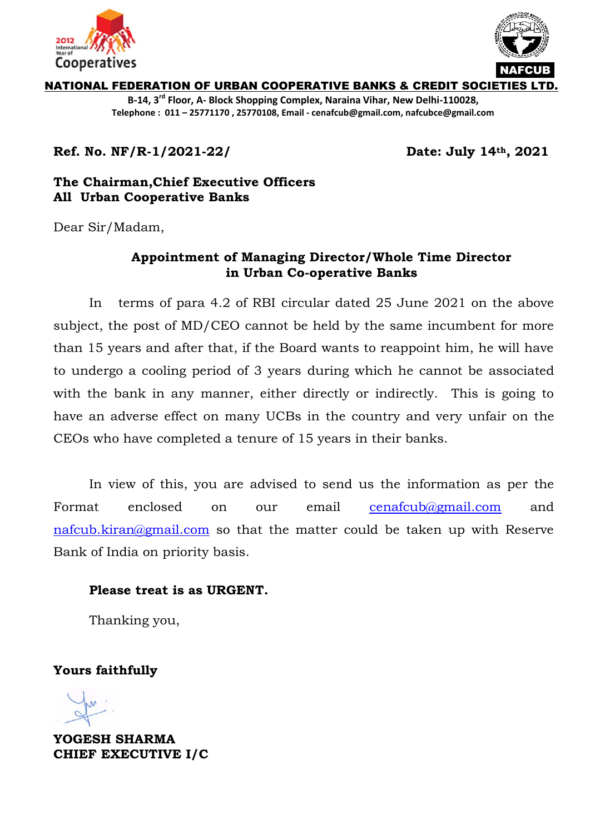



NATIONAL FEDERATION OF URBAN COOPERATIVE BANKS & CREDIT SOCIETIES L

**B-14, 3rd Floor, A- Block Shopping Complex, Naraina Vihar, New Delhi-110028, Telephone : 011 – 25771170 , 25770108, Email - cenafcub@gmail.com, nafcubce@gmail.com**

**Ref. No. NF/R-1/2021-22/** 

Date: July 14th, 2021

## **The Chairman,Chief Executive Officers All Urban Cooperative Banks**

Dear Sir/Madam,

## **Appointment of Managing Director/Whole Time Director in Urban Co-operative Banks**

In terms of para 4.2 of RBI circular dated 25 June 2021 on the above subject, the post of MD/CEO cannot be held by the same incumbent for more than 15 years and after that, if the Board wants to reappoint him, he will have to undergo a cooling period of 3 years during which he cannot be associated with the bank in any manner, either directly or indirectly. This is going to have an adverse effect on many UCBs in the country and very unfair on the CEOs who have completed a tenure of 15 years in their banks.

In view of this, you are advised to send us the information as per the Format enclosed on our email [cenafcub@gmail.com](mailto:cenafcub@gmail.com) and [nafcub.kiran@gmail.com](mailto:nafcub.kiran@gmail.com) so that the matter could be taken up with Reserve Bank of India on priority basis.

## **Please treat is as URGENT.**

Thanking you,

**Yours faithfully**

**YOGESH SHARMA CHIEF EXECUTIVE I/C**